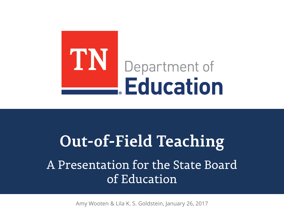

# **Out-of-Field Teaching** A Presentation for the State Board of Education

Amy Wooten & Lila K. S. Goldstein, January 26, 2017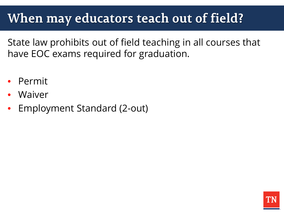## **When may educators teach out of field?**

State law prohibits out of field teaching in all courses that have EOC exams required for graduation.

- Permit
- Waiver
- Employment Standard (2-out)

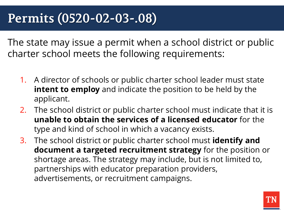## **Permits (0520-02-03-.08)**

The state may issue a permit when a school district or public charter school meets the following requirements:

- 1. A director of schools or public charter school leader must state **intent to employ** and indicate the position to be held by the applicant.
- 2. The school district or public charter school must indicate that it is **unable to obtain the services of a licensed educator** for the type and kind of school in which a vacancy exists.
- 3. The school district or public charter school must **identify and document a targeted recruitment strategy** for the position or shortage areas. The strategy may include, but is not limited to, partnerships with educator preparation providers, advertisements, or recruitment campaigns.

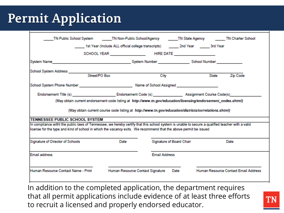## **Permit Application**

|                                                                                                                                                                                                                                                                                                                                                                           |  |                                                                                                                |                          |       | TN Public School System TN Non-Public School/Agency TN State Agency TN Charter School |
|---------------------------------------------------------------------------------------------------------------------------------------------------------------------------------------------------------------------------------------------------------------------------------------------------------------------------------------------------------------------------|--|----------------------------------------------------------------------------------------------------------------|--------------------------|-------|---------------------------------------------------------------------------------------|
|                                                                                                                                                                                                                                                                                                                                                                           |  |                                                                                                                |                          |       |                                                                                       |
|                                                                                                                                                                                                                                                                                                                                                                           |  |                                                                                                                |                          |       |                                                                                       |
|                                                                                                                                                                                                                                                                                                                                                                           |  |                                                                                                                |                          |       |                                                                                       |
|                                                                                                                                                                                                                                                                                                                                                                           |  |                                                                                                                |                          |       |                                                                                       |
|                                                                                                                                                                                                                                                                                                                                                                           |  |                                                                                                                | City                     | State | Zip Code                                                                              |
| School System Phone Number National Communication of School Assigned National Communication of School Assigned                                                                                                                                                                                                                                                            |  |                                                                                                                |                          |       |                                                                                       |
|                                                                                                                                                                                                                                                                                                                                                                           |  |                                                                                                                |                          |       |                                                                                       |
|                                                                                                                                                                                                                                                                                                                                                                           |  | (May obtain current endorsement code listing at http://www.tn.gov/education/licensing/endorsement_codes.shtml) |                          |       |                                                                                       |
|                                                                                                                                                                                                                                                                                                                                                                           |  | (May obtain current course code listing at http://www.tn.gov/education/districts/correlations.shtml)           |                          |       |                                                                                       |
|                                                                                                                                                                                                                                                                                                                                                                           |  |                                                                                                                |                          |       |                                                                                       |
|                                                                                                                                                                                                                                                                                                                                                                           |  |                                                                                                                |                          |       |                                                                                       |
|                                                                                                                                                                                                                                                                                                                                                                           |  |                                                                                                                |                          |       |                                                                                       |
|                                                                                                                                                                                                                                                                                                                                                                           |  | Date                                                                                                           | Signature of Board Chair |       | Date                                                                                  |
| <b>TENNESSEE PUBLIC SCHOOL SYSTEM</b><br>In compliance witht the public laws of Tennessee, we hereby certify that this school system is unable to secure a qualified teacher with a valid<br>license for the type and kind of school in which the vacancy exits. We recommend that the above permit be issued<br>Signature of Director of Schools<br><b>Email address</b> |  |                                                                                                                | <b>Email Address</b>     |       |                                                                                       |

In addition to the completed application, the department requires that all permit applications include evidence of at least three efforts to recruit a licensed and properly endorsed educator.

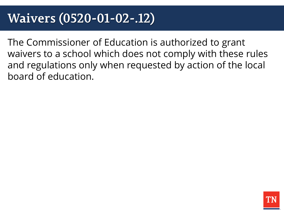## **Waivers (0520-01-02-.12)**

The Commissioner of Education is authorized to grant waivers to a school which does not comply with these rules and regulations only when requested by action of the local board of education.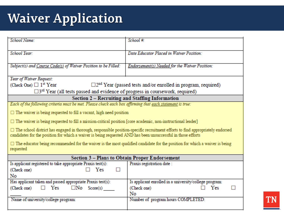# **Waiver Application**

| School Name:                                                                                                                                                                                                                                         | School #:                                              |  |  |  |  |
|------------------------------------------------------------------------------------------------------------------------------------------------------------------------------------------------------------------------------------------------------|--------------------------------------------------------|--|--|--|--|
| School Year:                                                                                                                                                                                                                                         | Date Educator Placed in Waiver Position:               |  |  |  |  |
|                                                                                                                                                                                                                                                      |                                                        |  |  |  |  |
| Subject(s) and Course Code(s) of Waiver Position to be Filled:                                                                                                                                                                                       | Endorsement(s) Needed for the Waiver Position:         |  |  |  |  |
|                                                                                                                                                                                                                                                      |                                                        |  |  |  |  |
| Year of Waiver Request:                                                                                                                                                                                                                              |                                                        |  |  |  |  |
| $\Box$ 2 <sup>nd</sup> Year (passed tests and/or enrolled in program, required)<br>(Check One) $\Box$ 1 <sup>st</sup> Year                                                                                                                           |                                                        |  |  |  |  |
| $\square$ 3 <sup>rd</sup> Year (all tests passed and evidence of progress in coursework, required)                                                                                                                                                   |                                                        |  |  |  |  |
| Section 2 - Recruiting and Staffing Information                                                                                                                                                                                                      |                                                        |  |  |  |  |
| Each of the following criteria must be met. Please check each box affirming that each statement is true:                                                                                                                                             |                                                        |  |  |  |  |
| $\Box$ The waiver is being requested to fill a vacant, high need position                                                                                                                                                                            |                                                        |  |  |  |  |
| $\Box$ The waiver is being requested to fill a mission-critical position [core academic, non-instructional leader]                                                                                                                                   |                                                        |  |  |  |  |
| $\Box$ The school district has engaged in thorough, responsible position-specific recruitment efforts to find appropriately endorsed<br>candidates for the position for which a waiver is being requested AND has been unsuccessful in those efforts |                                                        |  |  |  |  |
| $\Box$ The educator being recommended for the waiver is the most qualified candidate for the position for which a waiver is being<br>requested                                                                                                       |                                                        |  |  |  |  |
| Section 3 - Plans to Obtain Proper Endorsement                                                                                                                                                                                                       |                                                        |  |  |  |  |
| Is applicant registered to take appropriate Praxis test(s):                                                                                                                                                                                          | Praxis registration date :                             |  |  |  |  |
| Yes<br>(Check one)<br>ш                                                                                                                                                                                                                              |                                                        |  |  |  |  |
| No                                                                                                                                                                                                                                                   |                                                        |  |  |  |  |
| Has applicant taken and passed appropriate Praxis test(s):                                                                                                                                                                                           | Is applicant enrolled in a university/college program: |  |  |  |  |
| (Check one)<br>$\Box$ Yes<br>$\Box$ No Score(s)                                                                                                                                                                                                      | (Check one)<br>Yes                                     |  |  |  |  |
|                                                                                                                                                                                                                                                      | No                                                     |  |  |  |  |
| Name of university/college program:                                                                                                                                                                                                                  | Number of program hours COMPLETED:                     |  |  |  |  |
|                                                                                                                                                                                                                                                      |                                                        |  |  |  |  |

**TN**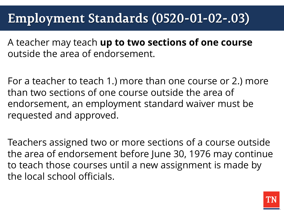## **Employment Standards (0520-01-02-.03)**

A teacher may teach **up to two sections of one course**  outside the area of endorsement.

For a teacher to teach 1.) more than one course or 2.) more than two sections of one course outside the area of endorsement, an employment standard waiver must be requested and approved.

Teachers assigned two or more sections of a course outside the area of endorsement before June 30, 1976 may continue to teach those courses until a new assignment is made by the local school officials.

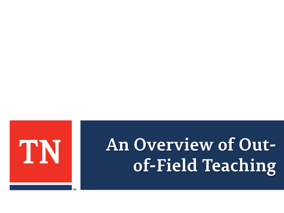

# **An Overview of Outof-Field Teaching**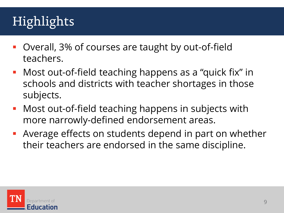# Highlights

- Overall, 3% of courses are taught by out-of-field teachers.
- **Most out-of-field teaching happens as a "quick fix" in** schools and districts with teacher shortages in those subjects.
- **Most out-of-field teaching happens in subjects with** more narrowly-defined endorsement areas.
- Average effects on students depend in part on whether their teachers are endorsed in the same discipline.

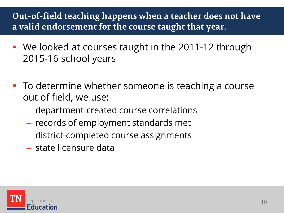### **Out-of-field teaching happens when a teacher does not have a valid endorsement for the course taught that year.**

- We looked at courses taught in the 2011-12 through 2015-16 school years
- **To determine whether someone is teaching a course** out of field, we use:
	- department-created course correlations
	- records of employment standards met
	- district-completed course assignments
	- state licensure data

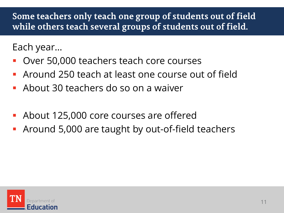### **Some teachers only teach one group of students out of field while others teach several groups of students out of field.**

Each year…

- Over 50,000 teachers teach core courses
- Around 250 teach at least one course out of field
- About 30 teachers do so on a waiver
- About 125,000 core courses are offered
- Around 5,000 are taught by out-of-field teachers

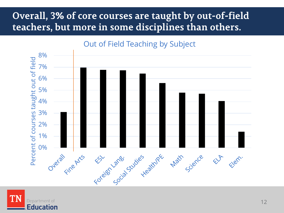## **Overall, 3% of core courses are taught by out-of-field teachers, but more in some disciplines than others.**



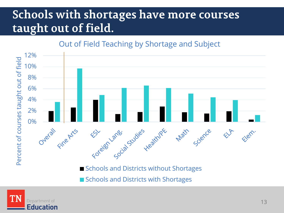## **Schools with shortages have more courses taught out of field.**

#### Out of Field Teaching by Shortage and Subject



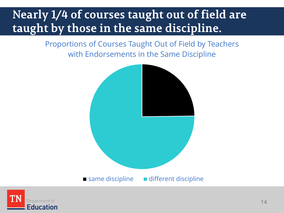## **Nearly 1/4 of courses taught out of field are taught by those in the same discipline.**

Proportions of Courses Taught Out of Field by Teachers with Endorsements in the Same Discipline



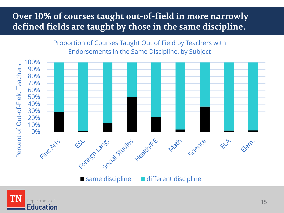#### **Over 10% of courses taught out-of-field in more narrowly defined fields are taught by those in the same discipline.**

Proportion of Courses Taught Out of Field by Teachers with Endorsements in the Same Discipline, by Subject



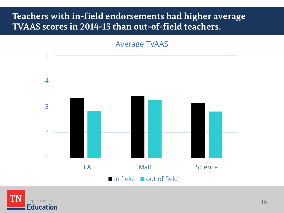#### **Teachers with in-field endorsements had higher average TVAAS scores in 2014-15 than out-of-field teachers.**



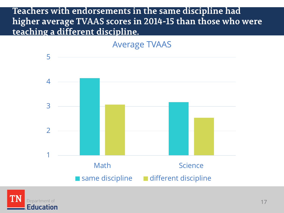#### **Teachers with endorsements in the same discipline had higher average TVAAS scores in 2014-15 than those who were teaching a different discipline.**

Average TVAAS



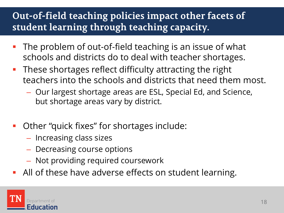## **Out-of-field teaching policies impact other facets of student learning through teaching capacity.**

- **The problem of out-of-field teaching is an issue of what** schools and districts do to deal with teacher shortages.
- **These shortages reflect difficulty attracting the right** teachers into the schools and districts that need them most.
	- Our largest shortage areas are ESL, Special Ed, and Science, but shortage areas vary by district.
- Other "quick fixes" for shortages include:
	- Increasing class sizes
	- Decreasing course options
	- Not providing required coursework
- All of these have adverse effects on student learning.

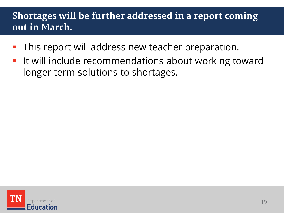## **Shortages will be further addressed in a report coming out in March.**

- This report will address new teacher preparation.
- It will include recommendations about working toward longer term solutions to shortages.